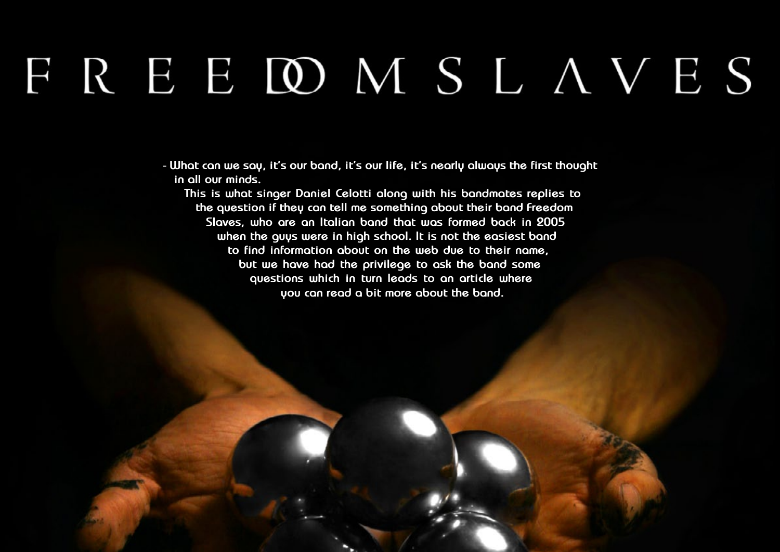# FREEDMSLAVES

**- What can we say, it's our band, it's our life, it's nearly always the first thought in all our minds.**

**This is what singer Daniel Celotti along with his bandmates replies to the question if they can tell me something about their band Freedom Slaves, who are an Italian band that was formed back in 2005 when the guys were in high school. It is not the easiest band to find information about on the web due to their name, but we have had the privilege to ask the band some questions which in turn leads to an article where you can read a bit more about the band.**

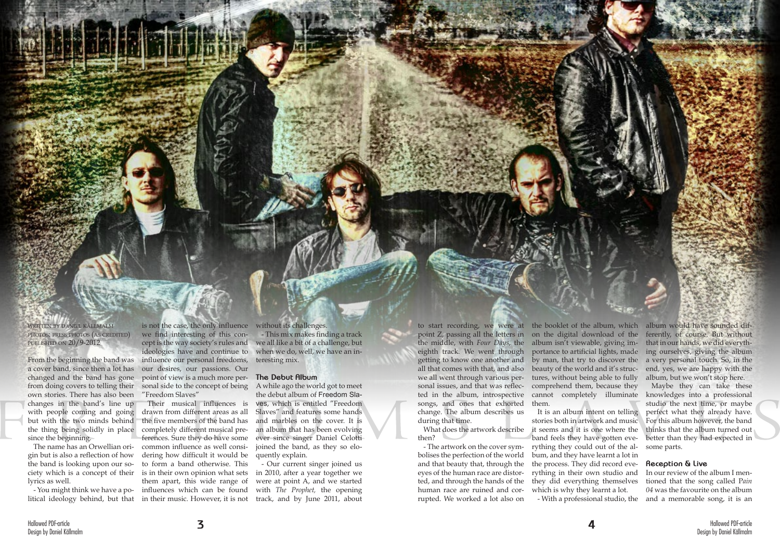written by daniel källmalm photos: press photos (as credited) published on 20/9-2012

From the beginning the band was a cover band, since then a lot has changed and the band has gone from doing covers to telling their own stories. There has also been changes in the band's line up with people coming and going but with the two minds behind since the beginning.

The name has an Orwellian origin but is also a reflection of how the band is looking upon our society which is a concept of their lyrics as well.

is not the case, the only influence we find interesting of this concept is the way society's rules and ideologies have and continue to influence our personal freedoms, our desires, our passions. Our point of view is a much more personal side to the concept of being "Freedom Slaves"

the thing being solidly in place completely different musical pre-- You might think we have a po-influences which can be found Their musical influences is drawn from different areas as all the five members of the band has ferences. Sure they do have some common influence as well considering how difficult it would be to form a band otherwise. This is in their own opinion what sets them apart, this wide range of

litical ideology behind, but that in their music. However, it is not

without its challenges.

- This mix makes finding a track we all like a bit of a challenge, but when we do, well, we have an interesting mix.

### **The Debut Album**

A while ago the world got to meet the debut album of Freedom Slaves, which is entitled "Freedom Slaves" and features some hands and marbles on the cover. It is an album that has been evolving ever since singer Daniel Celotti joined the band, as they so eloquently explain.

- Our current singer joined us in 2010, after a year together we were at point A, and we started with *The Prophet,* the opening track, and by June 2011, about

the middle, with *Four Days*, the album isn't viewable, giving imeighth track. We went through all that comes with that, and also beauty of the world and it's strucsongs, and ones that exhorted change. The album describes us during that time.

What does the artwork describe then?

- The artwork on the cover symbolises the perfection of the world and that beauty that, through the eyes of the human race are distorted, and through the hands of the human race are ruined and corrupted. We worked a lot also on

to start recording, we were at the booklet of the album, which point Z, passing all the letters in on the digital download of the getting to know one another and by man, that try to discover the we all went through various per-tures, without being able to fully sonal issues, and that was reflec-comprehend them, because they ted in the album, introspective cannot completely illuminate portance to artificial lights, made them. album would have sounded differently, of course. But without that in our hands, we did everything ourselves, giving the album a very personal touch. So, in the end, yes, we are happy with the album, but we won't stop here. Maybe they can take these knowledges into a professional studio the next time, or maybe

> It is an album intent on telling stories both in artwork and music it seems and it is one where the band feels they have gotten everything they could out of the album, and they have learnt a lot in the process. They did record everything in their own studio and they did everything themselves which is why they learnt a lot. - With a professional studio, the

perfect what they already have. For this album however, the band thinks that the album turned out better than they had expected in some parts.

### **Reception & Live**

In our review of the album I mentioned that the song called P*ain 04* was the favourite on the album and a memorable song, it is an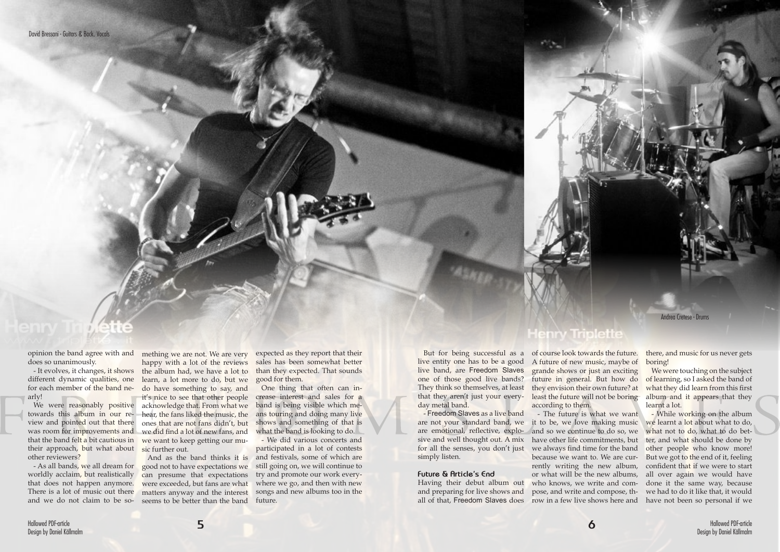opinion the band agree with and does so unanimously.

- It evolves, it changes, it shows for each member of the band nearly!

view and pointed out that there their approach, but what about other reviewers?

- As all bands, we all dream for worldly acclaim, but realistically that does not happen anymore. There is a lot of music out there and we do not claim to be so-

different dynamic qualities, one learn, a lot more to do, but we We were reasonably positive acknowledge that. From what we towards this album in our re-hear, the fans liked the music, the was room for improvements and we did find a lot of new fans, and that the band felt a bit cautious in we want to keep getting our mumething we are not. We are very happy with a lot of the reviews the album had, we have a lot to do have something to say, and it's nice to see that other people ones that are not fans didn't, but sic further out.

And as the band thinks it is good not to have expectations we can presume that expectations were exceeded, but fans are what matters anyway and the interest seems to be better than the band **Henry Triplette** of course look towards the future. A future of new music, maybe of grande shows or just an exciting future in general. But how do least the future will not be boring according to them.

expected as they report that their sales has been somewhat better than they expected. That sounds good for them.

One thing that often can increase interest and sales for a band is being visible which means touring and doing many live shows and something of that is what the band is looking to do.

We were touching on the subject of learning, so I asked the band of what they did learn from this first album and it appears that they learnt a lot.

- We did various concerts and participated in a lot of contests and festivals, some of which are still going on, we will continue to try and promote our work everywhere we go, and then with new songs and new albums too in the future.

But for being successful as a live entity one has to be a good live band, are Freedom Slaves one of those good live bands? They think so themselves, at least they envision their own future? at that they aren't just your everyday metal band.

- Freedom Slaves as a live band for all the senses, you don't just simply listen.

#### **Future & Article's End**

Having their debut album out and preparing for live shows and all of that, Freedom Slaves does

are not your standard band, we it to be, we love making music are emotional, reflective, explo-and so we continue to do so, we sive and well thought out. A mix have other life commitments, but - The future is what we want we always find time for the band because we want to. We are currently writing the new album, row in a few live shows here and have not been so personal if we

there, and music for us never gets boring!

or what will be the new albums, all over again we would have who knows, we write and com-done it the same way, because pose, and write and compose, th-we had to do it like that, it would - While working on the album we learnt a lot about what to do, what not to do, what to do better, and what should be done by other people who know more! But we got to the end of it, feeling confident that if we were to start

Andrea Cretese - Drums